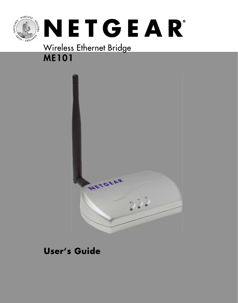

## Wireless Ethernet Bridge **ME101**



#### **User's Guide**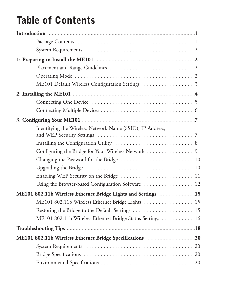# **Table of Contents**

| Identifying the Wireless Network Name (SSID), IP Address,     |  |
|---------------------------------------------------------------|--|
|                                                               |  |
| Configuring the Bridge for Your Wireless Network 9            |  |
|                                                               |  |
|                                                               |  |
| Enabling WEP Security on the Bridge 11                        |  |
| Using the Browser-based Configuration Software 12             |  |
| ME101 802.11b Wireless Ethernet Bridge Lights and Settings 15 |  |
| ME101 802.11b Wireless Ethernet Bridge Lights 15              |  |
| Restoring the Bridge to the Default Settings 15               |  |
| ME101 802.11b Wireless Ethernet Bridge Status Settings 16     |  |
|                                                               |  |
| ME101 802.11b Wireless Ethernet Bridge Specifications 20      |  |
|                                                               |  |
|                                                               |  |
|                                                               |  |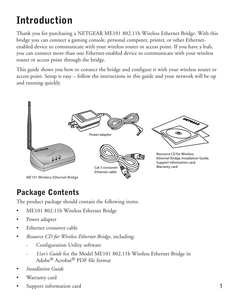# **Introduction**

Thank you for purchasing a NETGEAR ME101 802.11b Wireless Ethernet Bridge. With this bridge you can connect a gaming console, personal computer, printer, or other Ethernetenabled device to communicate with your wireless router or access point. If you have a hub, you can connect more than one Ethernet-enabled device to communicate with your wireless router or access point through the bridge.

This guide shows you how to connect the bridge and configure it with your wireless router or access point. Setup is easy – follow the instructions in this guide and your network will be up and running quickly.



#### **Package Contents**

The product package should contain the following items:

- ME101 802.11b Wireless Ethernet Bridge
- Power adapter
- Ethernet crossover cable
- *Resource CD for Wireless Ethernet Bridge*, including:
	- Configuration Utility software
	- User's Guide for the Model ME101 802.11b Wireless Ethernet Bridge in Adobe® Acrobat® PDF file format
- *Installation Guide*
- Warranty card
- Support information card 1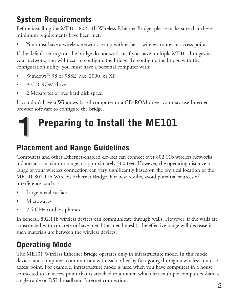## **System Requirements**

Before installing the ME101 802.11b Wireless Ethernet Bridge, please make sure that these minimum requirements have been met:

• You must have a wireless network set up with either a wireless router or access point.

If the default settings on the bridge do not work or if you have multiple ME101 bridges in your network, you will need to configure the bridge. To configure the bridge with the configuration utility, you must have a personal computer with:

- Windows® 98 or 98SE, Me, 2000, or XP.
- A CD-ROM drive.
- 2 Megabytes of free hard disk space.

If you don't have a Windows-based computer or a CD-ROM drive, you may use Internet browser software to configure the bridge.

# **Preparing to Install the ME101 1**

### **Placement and Range Guidelines**

Computers and other Ethernet-enabled devices can connect over 802.11b wireless networks indoors at a maximum range of approximately 500 feet. However, the operating distance or range of your wireless connection can vary significantly based on the physical location of the ME101 802.11b Wireless Ethernet Bridge. For best results, avoid potential sources of interference, such as:

- Large metal surfaces
- Microwaves
- 2.4 GHz cordless phones

In general, 802.11b wireless devices can communicate through walls. However, if the walls are constructed with concrete or have metal (or metal mesh), the effective range will decrease if such materials are between the wireless devices.

## **Operating Mode**

The ME101 Wireless Ethernet Bridge operates only in infrastructure mode. In this mode devices and computers communicate with each other by first going through a wireless router or access point. For example, infrastructure mode is used when you have computers in a house connected to an access point that is attached to a router, which lets multiple computers share a single cable or DSL broadband Internet connection.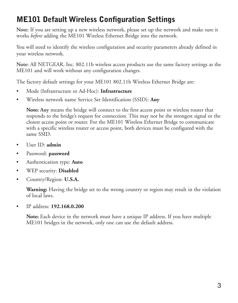### **ME101 Default Wireless Configuration Settings**

**Note:** If you are setting up a new wireless network, please set up the network and make sure it works *before* adding the ME101 Wireless Ethernet Bridge into the network.

You will need to identify the wireless configuration and security parameters already defined in your wireless network.

**Note:** All NETGEAR, Inc. 802.11b wireless access products use the same factory settings as the ME101 and will work without any configuration changes.

The factory default settings for your ME101 802.11b Wireless Ethernet Bridge are:

- Mode (Infrastructure or Ad-Hoc): **Infrastructure**
- Wireless network name Service Set Identification (SSID): **Any**

**Note: Any** means the bridge will connect to the first access point or wireless router that responds to the bridge's request for connection. This may not be the strongest signal or the closest access point or router. For the ME101 Wireless Ethernet Bridge to communicate with a specific wireless router or access point, both devices must be configured with the same SSID.

- User ID: **admin**
- Password: **password**
- Authentication type: **Auto**
- WEP security: **Disabled**
- Country/Region: **U.S.A.**

**Warning:** Having the bridge set to the wrong country or region may result in the violation of local laws.

• IP address: **192.168.0.200**

**Note:** Each device in the network must have a unique IP address. If you have multiple ME101 bridges in the network, only one can use the default address.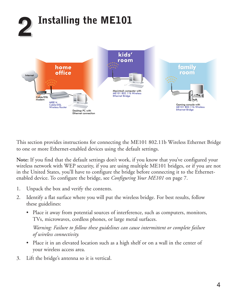

This section provides instructions for connecting the ME101 802.11b Wireless Ethernet Bridge to one or more Ethernet-enabled devices using the default settings.

**Note:** If you find that the default settings don't work, if you know that you've configured your wireless network with WEP security, if you are using multiple ME101 bridges, or if you are not in the United States, you'll have to configure the bridge before connecting it to the Ethernetenabled device. To configure the bridge, see *Configuring Your ME101* on page 7.

- 1. Unpack the box and verify the contents.
- 2. Identify a flat surface where you will put the wireless bridge. For best results, follow these guidelines:
	- Place it away from potential sources of interference, such as computers, monitors, TVs, microwaves, cordless phones, or large metal surfaces.

*Warning: Failure to follow these guidelines can cause intermittent or complete failure of wireless connectivity.*

- Place it in an elevated location such as a high shelf or on a wall in the center of your wireless access area.
- 3. Lift the bridge's antenna so it is vertical.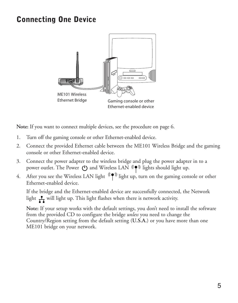#### **Connecting One Device**



**Note:** If you want to connect multiple devices, see the procedure on page 6.

- 1. Turn off the gaming console or other Ethernet-enabled device.
- 2. Connect the provided Ethernet cable between the ME101 Wireless Bridge and the gaming console or other Ethernet-enabled device.
- 3. Connect the power adapter to the wireless bridge and plug the power adapter in to a power outlet. The Power  $\bigcup$  and Wireless LAN  $\P^*$  lights should light up.
- 4. After you see the Wireless LAN light  $(\P^*)$  light up, turn on the gaming console or other Ethernet-enabled device.

If the bridge and the Ethernet-enabled device are successfully connected, the Network light  $\frac{1}{\sqrt{1}}$  will light up. This light flashes when there is network activity.

**Note:** If your setup works with the default settings, you don't need to install the software from the provided CD to configure the bridge *unless* you need to change the Country/Region setting from the default setting (**U.S.A.**) or you have more than one ME101 bridge on your network.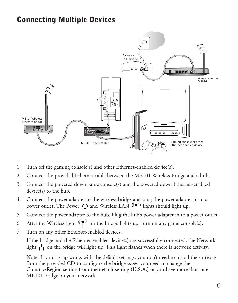#### **Connecting Multiple Devices**



- 1. Turn off the gaming console(s) and other Ethernet-enabled device(s).
- 2. Connect the provided Ethernet cable between the ME101 Wireless Bridge and a hub.
- 3. Connect the powered down game console(s) and the powered down Ethernet-enabled device(s) to the hub.
- 4. Connect the power adapter to the wireless bridge and plug the power adapter in to a power outlet. The Power ( $\bigcup$  and Wireless LAN  $\left(\bigcap_{n=1}^{\infty} A_n\right)$  lights should light up.
- 5. Connect the power adapter to the hub. Plug the hub's power adapter in to a power outlet.
- 6. After the Wireless light  $(\P^*)$  on the bridge lights up, turn on any game console(s).
- 7. Turn on any other Ethernet-enabled devices.

If the bridge and the Ethernet-enabled device(s) are successfully connected, the Network light  $\frac{1}{\sqrt{2}}$  on the bridge will light up. This light flashes when there is network activity.

**Note:** If your setup works with the default settings, you don't need to install the software from the provided CD to configure the bridge *unless* you need to change the Country/Region setting from the default setting (**U.S.A.**) or you have more than one ME101 bridge on your network.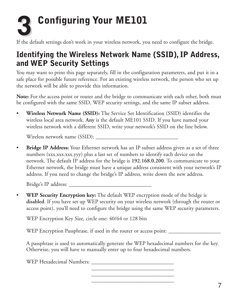# **Configuring Your ME101 3**

If the default settings don't work in your wireless network, you need to configure the bridge.

#### **Identifying the Wireless Network Name (SSID), IP Address, and WEP Security Settings**

You may want to print this page separately, fill in the configuration parameters, and put it in a safe place for possible future reference. For an existing wireless network, the person who set up the network will be able to provide this information.

**Note:** For the access point or router and the bridge to communicate with each other, both must be configured with the same SSID, WEP security settings, and the same IP subset address.

• **Wireless Network Name (SSID):** The Service Set Identification (SSID) identifies the wireless local area network. **Any** is the default ME101 SSID. If you have named your wireless network with a different SSID, write your network's SSID on the line below.

Wireless network name (SSID): \_\_\_\_\_\_\_\_\_\_\_\_\_\_\_\_\_\_\_\_\_\_\_\_\_\_\_\_\_\_

• **Bridge IP Address:** Your Ethernet network has an IP subset address given as a set of three numbers (xxx.xxx.xxx.yyy) plus a last set of numbers to identify each device on the network. The default IP address for the bridge is **192.168.0.200**. To communicate to your Ethernet network, the bridge must have a unique address consistent with your network's IP address. If you need to change the bridge's IP address, write down the new address.

Bridge's IP address:

• **WEP Security Encryption key:** The default WEP encryption mode of the bridge is **disabled**. If you have set up WEP security on your wireless network (through the router or access point), you'll need to configure the bridge using the same WEP security parameters.

WEP Encryption Key Size, circle one: 40/64 or 128 bits

WEP Encryption Passphrase, if used in the router or access point: \_\_\_\_\_\_\_\_\_\_\_\_\_\_

A passphrase is used to automatically generate the WEP hexadecimal numbers for the key. Otherwise, you will have to manually enter up to four hexadecimal numbers.

> \_\_\_\_\_\_\_\_\_\_\_\_\_\_\_\_\_\_\_\_\_\_\_\_\_\_\_\_\_\_ \_\_\_\_\_\_\_\_\_\_\_\_\_\_\_\_\_\_\_\_\_\_\_\_\_\_\_\_\_\_ \_\_\_\_\_\_\_\_\_\_\_\_\_\_\_\_\_\_\_\_\_\_\_\_\_\_\_\_\_\_

WEP Hexadecimal Numbers: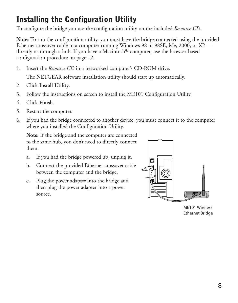### **Installing the Configuration Utility**

To configure the bridge you use the configuration utility on the included *Resource CD*.

**Note:** To run the configuration utility, you must have the bridge connected using the provided Ethernet crossover cable to a computer running Windows 98 or 98SE, Me, 2000, or XP directly or through a hub. If you have a Macintosh® computer, use the browser-based configuration procedure on page 12.

1. Insert the *Resource CD* in a networked computer's CD-ROM drive.

The NETGEAR software installation utility should start up automatically.

- 2. Click **Install Utility**.
- 3. Follow the instructions on screen to install the ME101 Configuration Utility.
- 4. Click **Finish**.
- 5. Restart the computer.
- 6. If you had the bridge connected to another device, you must connect it to the computer where you installed the Configuration Utility.

**Note:** If the bridge and the computer are connected to the same hub, you don't need to directly connect them.

- a. If you had the bridge powered up, unplug it.
- b. Connect the provided Ethernet crossover cable between the computer and the bridge.
- c. Plug the power adapter into the bridge and then plug the power adapter into a power source. **Default Ethernet Antenna antenna in 1987. Il de la propriet Antenna antenna antenna antenna antenna antenn**



ME101 Wireless Ethernet Bridge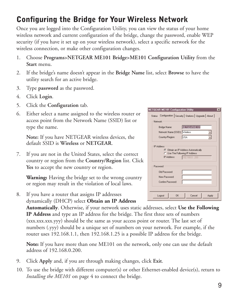### **Configuring the Bridge for Your Wireless Network**

Once you are logged into the Configuration Utility, you can view the status of your home wireless network and current configuration of the bridge, change the password, enable WEP security (if you have it set up on your wireless network), select a specific network for the wireless connection, or make other configuration changes.

- 1. Choose **Programs>NETGEAR ME101 Bridge>ME101 Configuration Utility** from the **Start** menu.
- 2. If the bridge's name doesn't appear in the **Bridge Name** list, select **Browse** to have the utility search for an active bridge.
- 3. Type **password** as the password.
- 4. Click **Login**.
- 5. Click the **Configuration** tab.
- 6. Either select a name assigned to the wireless router or access point from the Network Name (SSID) list or type the name.

**Note:** If you have NETGEAR wireless devices, the default SSID is **Wireless** or **NETGEAR**.

7. If you are not in the United States, select the correct country or region from the **Country/Region** list. Click **Yes** to accept the new country or region.

**Warning:** Having the bridge set to the wrong country or region may result in the violation of local laws.

8. If you have a router that assigns IP addresses dynamically (DHCP) select **Obtain an IP Address**

**Automatically**. Otherwise, if your network uses static addresses, select **Use the Following IP Address** and type an IP address for the bridge. The first three sets of numbers (xxx.xxx.xxx.yyy) should be the same as your access point or router. The last set of numbers (.yyy) should be a unique set of numbers on your network. For example, if the router uses 192.168.1.1, then 192.168.1.25 is a possible IP address for the bridge.

**Note:** If you have more than one ME101 on the network, only one can use the default address of 192.168.0.200.

- 9. Click **Apply** and, if you are through making changes, click **Exit**.
- 10. To use the bridge with different computer(s) or other Ethernet-enabled device(s), return to *Installing the ME101* on page 4 to connect the bridge.

| <b>NETGEAR ME101 Configuration Utility</b>                       | $\times$                                            |
|------------------------------------------------------------------|-----------------------------------------------------|
| <b>Status</b>                                                    | Configuration Security   Stations   Upgrade   About |
| Network                                                          |                                                     |
| Bridge Name:                                                     | NETGEARME101                                        |
| Network Name (SSID): Wireless                                    |                                                     |
| lusa<br>Country/Region:                                          |                                                     |
|                                                                  |                                                     |
| <b>IP Address</b><br><b>6</b> Obtain an IP Address Automatically |                                                     |
| C Use The Following IP Address                                   |                                                     |
| IP Address:                                                      | 192.168.0 .200                                      |
| Password                                                         |                                                     |
| Old Password:                                                    |                                                     |
| New Password:                                                    |                                                     |
| Confirm Password:                                                |                                                     |
|                                                                  |                                                     |
|                                                                  |                                                     |
| ΩK<br>Logout                                                     | Cancel<br>Apply                                     |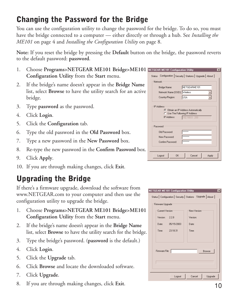#### **Changing the Password for the Bridge**

You can use the configuration utility to change the password for the bridge. To do so, you must have the bridge connected to a computer — either directly or through a hub. See *Installing the ME101* on page 4 and *Installing the Configuration Utility* on page 8.

**Note:** If you reset the bridge by pressing the **Default** button on the bridge, the password reverts to the default password: **password**.

- 1. Choose **Programs>NETGEAR ME101 Bridge>ME101 Configuration Utility** from the **Start** menu.
- 2. If the bridge's name doesn't appear in the **Bridge Name** list, select **Browse** to have the utility search for an active bridge.
- 3. Type **password** as the password.
- 4. Click **Login**.
- 5. Click the **Configuration** tab.
- 6. Type the old password in the **Old Password** box.
- 7. Type a new password in the **New Password** box.
- 8. Re-type the new password in the **Confirm Password** box.
- 9. Click **Apply**.
- 10. If you are through making changes, click **Exit**.

### **Upgrading the Bridge**

If there's a firmware upgrade, download the software from www.NETGEAR.com to your computer and then use the configuration utility to upgrade the bridge.

- 1. Choose **Programs>NETGEAR ME101 Bridge>ME101 Configuration Utility** from the **Start** menu.
- 2. If the bridge's name doesn't appear in the **Bridge Name** list, select **Browse** to have the utility search for the bridge.
- 3. Type the bridge's password. (**password** is the default.)
- 4. Click **Login**.
- 5. Click the **Upgrade** tab.
- 6. Click **Browse** and locate the downloaded software.
- 7. Click **Upgrade**.
- 8. If you are through making changes, click **Exit**. 10

| <b>NETGEAR ME101 Configuration Utility</b> |                                                       | $\times$ |
|--------------------------------------------|-------------------------------------------------------|----------|
| Status                                     | Configuration   Security   Stations   Upgrade   About |          |
| Network                                    |                                                       |          |
| Bridge Name:                               | NETGEARME101                                          |          |
| Network Name (SSID): Wireless              |                                                       |          |
| Country/Region:                            | <b>USA</b>                                            |          |
|                                            |                                                       |          |
| <b>IP Address</b>                          | <b>6</b> Obtain an IP Address Automatically           |          |
| C Use The Following IP Address             |                                                       |          |
| IP Address:                                | 192.168.0 .200                                        |          |
| Password                                   |                                                       |          |
| Old Password:                              | <b><i><u>*******</u></i></b>                          |          |
| New Password:                              | <b>********</b>                                       |          |
| Confirm Password:                          | ********                                              |          |
|                                            |                                                       |          |
| ΠK<br>Logout                               | Cancel<br>Apply                                       |          |

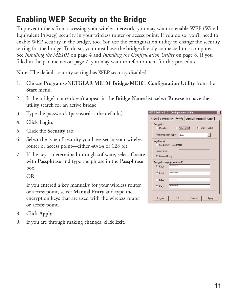## **Enabling WEP Security on the Bridge**

To prevent others from accessing your wireless network, you may want to enable WEP (Wired Equivalent Privacy) security in your wireless router or access point. If you do so, you'll need to enable WEP security in the bridge, too. You use the configuration utility to change the security setting for the bridge. To do so, you must have the bridge directly connected to a computer. See *Installing the ME101* on page 4 and *Installing the Configuration Utility* on page 8. If you filled in the parameters on page 7, you may want to refer to them for this procedure.

**Note:** The default security setting has WEP security disabled.

- 1. Choose **Programs>NETGEAR ME101 Bridge>ME101 Configuration Utility** from the **Start** menu.
- 2. If the bridge's name doesn't appear in the **Bridge Name** list, select **Browse** to have the utility search for an active bridge.
- 3. Type the password. (**password** is the default.)
- 4. Click **Login**.
- 5. Click the **Security** tab.
- 6. Select the type of security you have set in your wireless router or access point—either 40/64 or 128 bit.
- 7. If the key is determined through software, select **Create with Passphrase** and type the phrase in the **Passphrase** box.

OR

If you entered a key manually for your wireless router or access point, select **Manual Entry** and type the encryption keys that are used with the wireless router or access point.

- 8. Click **Apply**.
- 9. If you are through making changes, click **Exit**.

| <b>NETGEAR ME101 Configuration Utility</b>                   | $\times$ |
|--------------------------------------------------------------|----------|
| Status   Configuration Security   Stations   Upgrade   About |          |
| Encryption                                                   |          |
| C WEP 64bit C WEP 128bit<br>C Disable to the C Disable       |          |
| Authentication Type:<br>Auto                                 |          |
| Key Format                                                   |          |
| C Create with Passphrase                                     |          |
| Passphrase:                                                  |          |
| Manual Entry                                                 |          |
| Encryption Keys (Hex 0-9 A-F)                                |          |
| <b>RNNNNNNNNNN</b><br>G Kev1                                 |          |
| <b>KNNNNNNNNNN</b><br>C Kev2                                 |          |
| <b>RECEERED</b><br>$C$ Kev3                                  |          |
| <b>RECEIVERED</b><br>$C$ Kev4                                |          |
|                                                              |          |
| Cancel<br>Logout<br><b>n</b> <sub>K</sub><br>Apply           |          |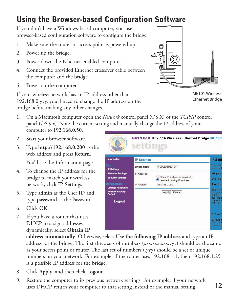### **Using the Browser-based Configuration Software**

If you don't have a Windows-based computer, you use browser-based configuration software to configure the bridge.

- 1. Make sure the router or access point is powered up.
- 2. Power up the bridge.
- 3. Power down the Ethernet-enabled computer.
- 4. Connect the provided Ethernet crossover cable between the computer and the bridge.
- 5. Power on the computer.

If your wireless network has an IP address other than 192.168.0.yyy, you'll need to change the IP address on the bridge before making any other changes.

1. On a Macintosh computer open the *Network* control panel (OS X) or the *TCP/IP* control panel (OS 9.x). Note the current setting and manually change the IP address of your computer to **192.168.0.50**.

> **Wireless Settings Security Settings**

**Change Password** Restore Factory

Logout

- 2. Start your browser software.
- 3. Type **http://192.168.0.200** as the web address and press **Return**.

You'll see the Information page.

- 4. To change the IP address for the bridge to match your wireless network, click **IP Settings**.
- 5. Type **admin** as the User ID and type **password** as the Password.
- 6. Click **OK**.
- 7. If you have a router that uses DHCP to assign addresses dynamically, select **Obtain IP**

**address automatically**. Otherwise, select **Use the following IP address** and type an IP address for the bridge. The first three sets of numbers (xxx.xxx.xxx.yyy) should be the same as your access point or router. The last set of numbers (.yyy) should be a set of unique numbers on your network. For example, if the router uses 192.168.1.1, then 192.168.1.25 is a possible IP address for the bridge.

- 8. Click **Apply**. and then click **Logout**.
- 9. Restore the computer to its previous network settings. For example, if your network uses DHCP, return your computer to that setting instead of the manual setting. 12

|                    | <b>ETGEAR 802.11b Wireless Ethernet Bridge ME101</b>            |                         |  |
|--------------------|-----------------------------------------------------------------|-------------------------|--|
|                    |                                                                 |                         |  |
| <b>IP Settings</b> |                                                                 | <b>IP Setti</b>         |  |
| <b>Bridge Name</b> | NETGEARME101                                                    | The defau<br>and situat |  |
| <b>IP Address</b>  |                                                                 | <b>Bridge Na</b>        |  |
|                    | Obtain IP address automatically<br>Use the following IP address | Enter the               |  |
| IP Address         | 192,168.0.200                                                   | <b>IP Addres</b>        |  |

Apply Cancel



ME101 Wireless Ethernet Bridge

o Sav Blick Ap<br>Dlick Ca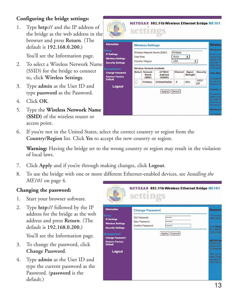#### **Configuring the bridge settings:**

1. Type **http://** and the IP address of the bridge as the web address in the browser and press **Return**. (The default is **192.168.0.200.)**

You'll see the Information page.

- 2. To select a Wireless Network Name (SSID) for the bridge to connect to, click **Wireless Settings**.
- 3. Type **admin** as the User ID and type **password** as the Password.
- 4. Click **OK**.
- 5. Type the **Wireless Network Name (SSID)** of the wireless router or access point.

| vilkeer.<br>SWITCHES<br>'n<br><b>UTERS</b><br>SONH                                         |           |                                   | NETGEAR 802.11b Wireless Ethernet Bridge ME101 |                                |                    |            |                                                                                                                               |
|--------------------------------------------------------------------------------------------|-----------|-----------------------------------|------------------------------------------------|--------------------------------|--------------------|------------|-------------------------------------------------------------------------------------------------------------------------------|
| <b>Information</b>                                                                         |           | <b>Wireless Settings</b>          |                                                |                                |                    |            | <b>Wireless</b>                                                                                                               |
| <b>Setup</b><br><b>IP Settings</b><br><b>Wireless Settings</b><br><b>Security Settings</b> | Data Rate | Country / Region                  | Wireless Network Name (SSID)                   | Wireless<br>Auto<br><b>USA</b> | $\div$             | $\div$     | <b>Wireless N</b><br>Enter a valu<br>characters.<br>(SSID) mus<br>devices in<br>case-sensi                                    |
| <b>Management</b>                                                                          |           | <b>Wireless Network Available</b> |                                                |                                |                    |            | not the sam                                                                                                                   |
| <b>Change Password</b><br><b>Restore Factory</b>                                           |           | Select Network<br>Name<br>(SSID)  | <b>AP MAC</b><br><b>Address</b><br>(BSSID)     | Channel                        | Signal<br>Strength | Security   | <b>Data Rate</b><br>Choose the                                                                                                |
| <b>Default</b>                                                                             | ∩         | <b>Wireless</b>                   | 0030ab09a99a                                   | $\overline{6}$                 | 49%                | WEP<br>Off | bridge. A lo<br>reliable cor                                                                                                  |
| Logout                                                                                     |           |                                   | Apply   Cancel                                 |                                |                    |            | Country / F<br>Choose the<br>setting from<br>will scan for<br>channels a<br>country or r<br><b>Wireless N</b><br>This table o |

6. If you're not in the United States, select the correct country or region from the **Country/Region** list. Click **Yes** to accept the new country or region.

**Warning:** Having the bridge set to the wrong country or region may result in the violation of local laws.

- 7. Click **Apply** and if you're through making changes, click **Logout**.
- 8. To use the bridge with one or more different Ethernet-enabled devices, see *Installing the ME101* on page 4.

#### **Changing the password:**

- 1. Start your browser software.
- 2. Type **http://** followed by the IP address for the bridge as the web address and press **Return**. (The default is **192.168.0.200.)**

You'll see the Information page.

- 3. To change the password, click **Change Password**.
- 4. Type **admin** as the User ID and type the current password as the Password. (**password** is the default.)

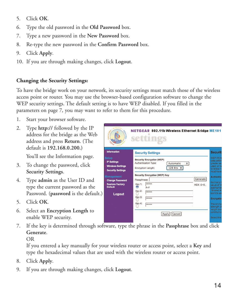- 5. Click **OK**.
- 6. Type the old password in the **Old Password** box.
- 7. Type a new password in the **New Password** box.
- 8. Re-type the new password in the **Confirm Password** box.
- 9. Click **Apply**.
- 10. If you are through making changes, click **Logout**.

#### **Changing the Security Settings:**

To have the bridge work on your network, its security settings must match those of the wireless access point or router. You may use the browser-based configuration software to change the WEP security settings. The default setting is to have WEP disabled. If you filled in the parameters on page 7, you may want to refer to them for this procedure.

- 1. Start your browser software.
- 2. Type **http://** followed by the IP address for the bridge as the Web address and press **Return**. (The default is **192.168.0.200.)**

You'll see the Information page.

- 3. To change the password, click **Security Settings**.
- 4. Type **admin** as the User ID and type the current password as the Password. (**password** is the default.)
- 5. Click **OK**.
- 6. Select an **Encryption Length** to enable WEP security.
- 7. If the key is determined through software, type the phrase in the **Passphrase** box and click **Generate**.

OR

If you entered a key manually for your wireless router or access point, select a **Key** and type the hexadecimal values that are used with the wireless router or access point.

- 8. Click **Apply**.
- 9. If you are through making changes, click **Logout**.

| <b>Security Settings</b>                                                       | <b>Security</b>                                                                                                               |
|--------------------------------------------------------------------------------|-------------------------------------------------------------------------------------------------------------------------------|
| <b>Security Encryption (WEP)</b><br>Authentication Type:<br>Encryption Length: | WEP (Wire<br>data before<br>Automatic<br>$\div$<br>greater ser<br>used, all w<br>128 Bits $\div$<br>wireless ne<br>must have. |
| Security Encryption (WEP) Key<br>Passphrase:                                   | <b>Authentica</b><br>Generate                                                                                                 |
| *****<br>Kev 1:<br>۰<br>A~F                                                    | Normally #<br>$HEX:0-9$ .<br>value of "A<br>appropriate                                                                       |
| Key 2:<br>*****<br>Key 3:<br>*****                                             | Shared Ka<br>point to see<br><b>Encryption</b>                                                                                |
| Key 4:<br>*****                                                                | The encive<br>strength of                                                                                                     |
|                                                                                |                                                                                                                               |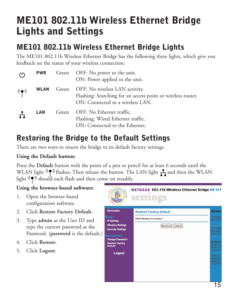# **ME101 802.11b Wireless Ethernet Bridge Lights and Settings**

#### **ME101 802.11b Wireless Ethernet Bridge Lights**

The ME101 802.11b Wireless Ethernet Bridge has the following three lights, which give you feedback on the status of your wireless connection:

| $\langle$ <sup>1</sup>                                             | <b>PWR</b>  |       | Green OFF: No power to the unit.<br>ON: Power applied to the unit.                                                                |
|--------------------------------------------------------------------|-------------|-------|-----------------------------------------------------------------------------------------------------------------------------------|
| $(\hspace{-1.5pt}{\rm (}\hspace{-1.5pt}{\bullet})\hspace{-1.5pt})$ | <b>WLAN</b> | Green | OFF: No wireless LAN activity.<br>Flashing: Searching for an access point or wireless router.<br>ON: Connected to a wireless LAN. |
| $\mathbf{H}$                                                       | LAN         | Green | OFF: No Ethernet traffic.<br>Flashing: Wired Ethernet traffic.<br>ON: Connected to the Ethernet.                                  |

#### **Restoring the Bridge to the Default Settings**

There are two ways to return the bridge to its default factory settings.

#### **Using the Default button:**

Press the **Default** button with the point of a pen or pencil for at least 6 seconds until the WLAN light  $\langle \phi \rangle$  flashes. Then release the button. The LAN light  $\frac{1}{\sqrt{2}}$  and then the WLAN light  $\langle \phi \rangle$  should each flash and then come on steadily.

#### **Using the browser-based software:**

- 1. Open the browser-based configuration software.
- 2. Click **Restore Factory Default**.
- 3. Type **admin** as the User ID and type the current password as the Password. (**password** is the default.)
- 4. Click **Restore**.
- 5. Click **Logout**.

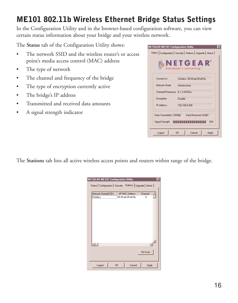#### **ME101 802.11b Wireless Ethernet Bridge Status Settings**

In the Configuration Utility and in the browser-based configuration software, you can view certain status information about your bridge and your wireless network.

The **Status** tab of the Configuration Utility shows:

- The network SSID and the wireless router's or access point's media access control (MAC) address
- The type of network
- The channel and frequency of the bridge
- The type of encryption currently active
- The bridge's IP address
- Transmitted and received data amounts
- A signal strength indicator



The **Stations** tab lists all active wireless access points and routers within range of the bridge.

| <b>NETGEAR ME101 Configuration Utility</b>                   |                                | $\vert x \vert$ |
|--------------------------------------------------------------|--------------------------------|-----------------|
| Status   Configuration   Security Stations   Upgrade   About |                                |                 |
| Network Name(SSID)                                           | AP MAC Address                 | Channel         |
| Wireless                                                     | 00-30-ab-09-a9-9a              | ĥ               |
|                                                              |                                |                 |
|                                                              |                                |                 |
|                                                              |                                |                 |
|                                                              |                                |                 |
|                                                              |                                |                 |
|                                                              |                                |                 |
|                                                              |                                |                 |
|                                                              |                                |                 |
|                                                              |                                |                 |
|                                                              |                                |                 |
|                                                              |                                | Re-Scan         |
|                                                              |                                |                 |
|                                                              |                                |                 |
| Logout                                                       | Cancel<br><b>n<sub>K</sub></b> | Apply           |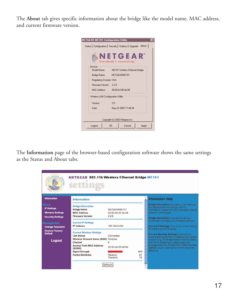The **About** tab gives specific information about the bridge like the model name, MAC address, and current firmware version.



The **Information** page of the browser-based configuration software shows the same settings as the Status and About tabs.

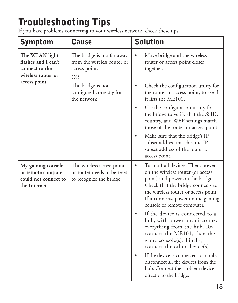# **Troubleshooting Tips**

If you have problems connecting to your wireless network, check these tips.

| <b>Symptom</b>                                                                                 | <b>Cause</b>                                                                            | <b>Solution</b>                                                                                                                                                                                                                                                           |
|------------------------------------------------------------------------------------------------|-----------------------------------------------------------------------------------------|---------------------------------------------------------------------------------------------------------------------------------------------------------------------------------------------------------------------------------------------------------------------------|
| The WLAN light<br>flashes and I can't<br>connect to the<br>wireless router or<br>access point. | The bridge is too far away<br>from the wireless router or<br>access point.<br><b>OR</b> | Move bridge and the wireless<br>router or access point closer<br>together.                                                                                                                                                                                                |
|                                                                                                | The bridge is not<br>configured correctly for<br>the network                            | Check the configuration utility for<br>the router or access point, to see if<br>it lists the ME101.                                                                                                                                                                       |
|                                                                                                |                                                                                         | Use the configuration utility for<br>the bridge to verify that the SSID,<br>country, and WEP settings match<br>those of the router or access point.                                                                                                                       |
|                                                                                                |                                                                                         | Make sure that the bridge's IP<br>subset address matches the IP<br>subset address of the router or<br>access point.                                                                                                                                                       |
| My gaming console<br>or remote computer<br>could not connect to<br>the Internet.               | The wireless access point<br>or router needs to be reset<br>to recognize the bridge.    | Turn off all devices. Then, power<br>$\bullet$<br>on the wireless router (or access<br>point) and power on the bridge.<br>Check that the bridge connects to<br>the wireless router or access point.<br>If it connects, power on the gaming<br>console or remote computer. |
|                                                                                                |                                                                                         | If the device is connected to a<br>hub, with power on, disconnect<br>everything from the hub. Re-<br>connect the ME101, then the<br>game console(s). Finally,<br>connect the other device(s).                                                                             |
|                                                                                                |                                                                                         | If the device is connected to a hub,<br>disconnect all the devices from the<br>hub. Connect the problem device<br>directly to the bridge.                                                                                                                                 |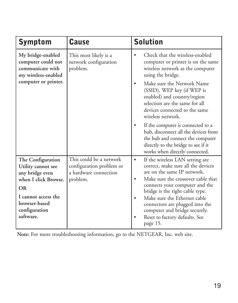| <b>Symptom</b>                                                                     | <b>Cause</b>                                                                             | <b>Solution</b>                                                                                                                                                                           |
|------------------------------------------------------------------------------------|------------------------------------------------------------------------------------------|-------------------------------------------------------------------------------------------------------------------------------------------------------------------------------------------|
| My bridge-enabled<br>computer could not<br>communicate with<br>my wireless-enabled | This most likely is a<br>network configuration<br>problem.                               | Check that the wireless-enabled<br>computer or printer is on the same<br>wireless network as the computer<br>using the bridge.                                                            |
| computer or printer.                                                               |                                                                                          | Make sure the Network Name<br>(SSID), WEP key (if WEP is<br>enabled) and country/region<br>selection are the same for all<br>devices connected to the same<br>wireless network.           |
|                                                                                    |                                                                                          | If the computer is connected to a<br>hub, disconnect all the devices from<br>the hub and connect the computer<br>directly to the bridge to see if it<br>works when directly connected.    |
| The Configuration<br>Utility cannot see<br>any bridge even<br>when I click Browse. | This could be a network<br>configuration problem or<br>a hardware connection<br>problem. | If the wireless LAN setting are<br>$\bullet$<br>correct, make sure all the devices<br>are on the same IP network.<br>Make sure the crossover cable that<br>connects your computer and the |
| <b>OR</b><br>I cannot access the<br>browser-based<br>configuration<br>software.    |                                                                                          | bridge is the right cable type.<br>Make sure the Ethernet cable<br>connectors are plugged into the<br>computer and bridge securely.<br>Reset to factory defaults. See<br>page 15.         |

**Note:** For more troubleshooting information, go to the NETGEAR, Inc. web site.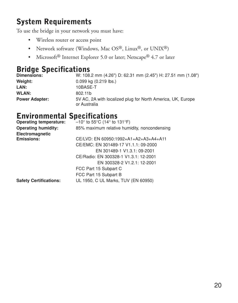#### **System Requirements**

To use the bridge in your network you must have:

- Wireless router or access point
- Network software (Windows, Mac OS®, Linux®, or UNIX®)
- Microsoft<sup>®</sup> Internet Explorer 5.0 or later; Netscape<sup>®</sup> 4.7 or later

#### **Bridge Specifications**

| Dimensions:           | W: 108.2 mm (4.26") D: 62.31 mm (2.45") H: 27.51 mm (1.08")                 |
|-----------------------|-----------------------------------------------------------------------------|
| Weight:               | $0.099$ kg $(0.219$ lbs.)                                                   |
| LAN:                  | 10BASE-T                                                                    |
| <b>WLAN:</b>          | 802.11b                                                                     |
| <b>Power Adapter:</b> | 5V AC, 2A with localized plug for North America, UK, Europe<br>or Australia |

#### **Environmental Specifications**

| <b>Operating temperature:</b> | $-10^{\circ}$ to 55 $^{\circ}$ C (14 $^{\circ}$ to 131 $^{\circ}$ F) |
|-------------------------------|----------------------------------------------------------------------|
| <b>Operating humidity:</b>    | 85% maximum relative humidity, noncondensing                         |
| Electromagnetic               |                                                                      |
| Emissions:                    | CE/LVD: EN 60950:1992+A1+A2+A3+A4+A11                                |
|                               | CE/EMC: EN 301489-17 V1.1.1: 09-2000                                 |
|                               | EN 301489-1 V1.3.1: 09-2001                                          |
|                               | CE/Radio: EN 300328-1 V1.3.1: 12-2001                                |
|                               | EN 300328-2 V1.2.1: 12-2001                                          |
|                               | FCC Part 15 Subpart C                                                |
|                               | FCC Part 15 Subpart B                                                |
| <b>Safety Certifications:</b> | UL 1950, C UL Marks, TUV (EN 60950)                                  |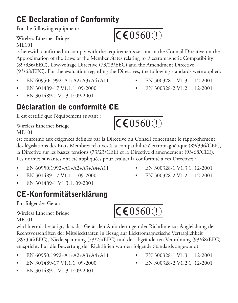## **CE Declaration of Conformity**

For the following equipment:

Wireless Ethernet Bridge ME101

is herewith confirmed to comply with the requirements set out in the Council Directive on the Approximation of the Laws of the Member States relating to Electromagnetic Compatibility (89/336/EEC), Low-voltage Directive (73/23/EEC) and the Amendment Directive (93/68/EEC). For the evaluation regarding the Directives, the following standards were applied:

- EN 60950:1992+A1+A2+A3+A4+A11 EN 300328-1 V1.3.1: 12-2001
- EN 301489-17 V1.1.1: 09-2000 EN 300328-2 V1.2.1: 12-2001
- EN 301489-1 V1.3.1: 09-2001

### **Déclaration de conformité CE**

Il est certifié que l'équipement suivant :

Wireless Ethernet Bridge ME101

est conforme aux exigences définies par la Directive du Conseil concernant le rapprochement des législations des États Membres relatives à la compatibilité électromagnétique (89/336/CEE), la Directive sur les basses tensions (73/23/CEE) et la Directive d'amendement (93/68/CEE). Les normes suivantes ont été appliquées pour évaluer la conformité à ces Directives :

- EN 60950:1992+A1+A2+A3+A4+A11 EN 300328-1 V1.3.1: 12-2001
- EN 301489-17 V1.1.1: 09-2000 EN 300328-2 V1.2.1: 12-2001
- EN 301489-1 V1.3.1: 09-2001

## **CE-Konformitätserklärung**

Für folgendes Gerät:

Wireless Ethernet Bridge ME101

wird hiermit bestätigt, dass das Gerät den Anforderungen der Richtlinie zur Angleichung der Rechtsvorschriften der Mitgliedstaaten in Bezug auf Elektromagnetische Verträglichkeit (89/336/EEC), Niederspannung (73/23/EEC) und der abgeänderten Verordnung (93/68/EEC) entspricht. Für die Bewertung der Richtlinien wurden folgende Standards angewandt:

- EN 60950:1992+A1+A2+A3+A4+A11 EN 300328-1 V1.3.1: 12-2001
- EN 301489-17 V1.1.1: 09-2000 EN 300328-2 V1.2.1: 12-2001
- EN 301489-1 V1.3.1: 09-2001
- -



 $\mathsf{CC}6000$ 

 $\mathsf{CC}60600$ 

- 
-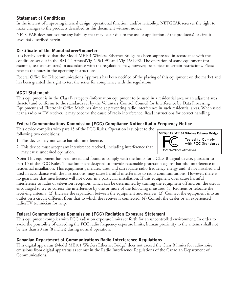#### **Statement of Conditions**

In the interest of improving internal design, operational function, and/or reliability, NETGEAR reserves the right to make changes to the products described in this document without notice.

NETGEAR does not assume any liability that may occur due to the use or application of the product(s) or circuit layout(s) described herein.

#### **Certificate of the Manufacturer/Importer**

It is hereby certified that the Model ME101 Wireless Ethernet Bridge has been suppressed in accordance with the conditions set out in the BMPT- AmtsblVfg 243/1991 and Vfg 46/1992. The operation of some equipment (for example, test transmitters) in accordance with the regulations may, however, be subject to certain restrictions. Please refer to the notes in the operating instructions.

Federal Office for Telecommunications Approvals has been notified of the placing of this equipment on the market and has been granted the right to test the series for compliance with the regulations.

#### **VCCI Statement**

This equipment is in the Class B category (information equipment to be used in a residential area or an adjacent area thereto) and conforms to the standards set by the Voluntary Control Council for Interference by Data Processing Equipment and Electronic Office Machines aimed at preventing radio interference in such residential areas. When used near a radio or TV receiver, it may become the cause of radio interference. Read instructions for correct handling.

#### **Federal Communications Commission (FCC) Compliance Notice: Radio Frequency Notice**

This device complies with part 15 of the FCC Rules. Operation is subject to the following two conditions:

- 1. This device may not cause harmful interference.
- 2. This device must accept any interference received, including interference that may cause undesired operation.

**Note:** This equipment has been tested and found to comply with the limits for a Class B digital device, pursuant to part 15 of the FCC Rules. These limits are designed to provide reasonable protection against harmful interference in a residential installation. This equipment generates, uses, and can radiate radio frequency energy and, if not installed and used in accordance with the instructions, may cause harmful interference to radio communications. However, there is no guarantee that interference will not occur in a particular installation. If this equipment does cause harmful interference to radio or television reception, which can be determined by turning the equipment off and on, the user is encouraged to try to correct the interference by one or more of the following measures: (1) Reorient or relocate the receiving antenna, (2) Increase the separation between the equipment and receiver, (3) Connect the equipment into an outlet on a circuit different from that to which the receiver is connected, (4) Consult the dealer or an experienced radio/TV technician for help.

#### **Federal Communications Commission (FCC) Radiation Exposure Statement**

This equipment complies with FCC radiation exposure limits set forth for an uncontrolled environment. In order to avoid the possibility of exceeding the FCC radio frequency exposure limits, human proximity to the antenna shall not be less than 20 cm (8 inches) during normal operation.

#### **Canadian Department of Communications Radio Interference Regulations**

This digital apparatus (Model ME101 Wireless Ethernet Bridge) does not exceed the Class B limits for radio-noise emissions from digital apparatus as set out in the Radio Interference Regulations of the Canadian Department of Communications.